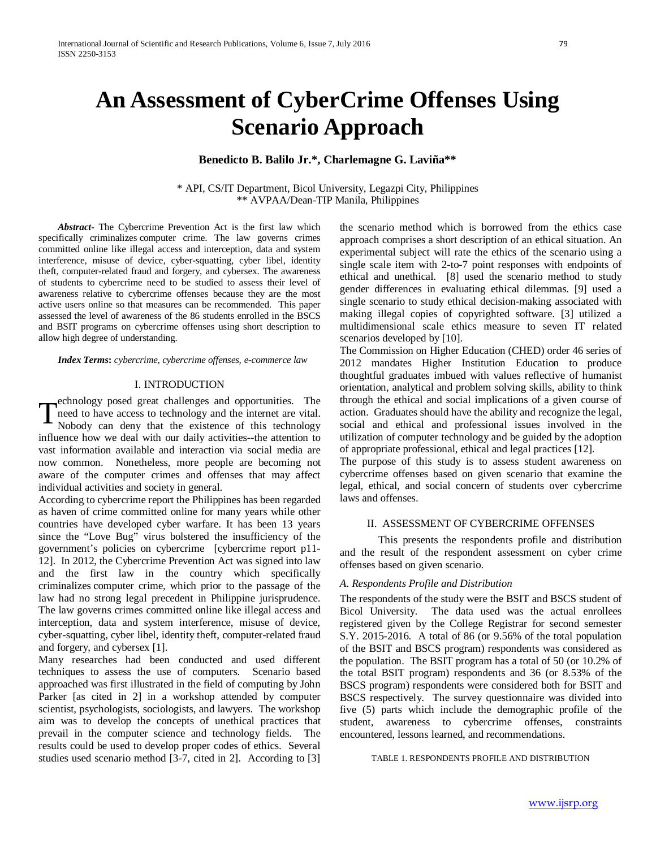# **An Assessment of CyberCrime Offenses Using Scenario Approach**

## **Benedicto B. Balilo Jr.\*, Charlemagne G. Laviña\*\***

\* API, CS/IT Department, Bicol University, Legazpi City, Philippines \*\* AVPAA/Dean-TIP Manila, Philippines

*Abstract-* The Cybercrime Prevention Act is the first law which specifically criminalizes [computer crime.](https://en.wikipedia.org/wiki/Computer_crime) The law governs crimes committed online like illegal access and interception, data and system interference, misuse of device, cyber-squatting, cyber libel, identity theft, computer-related fraud and forgery, and cybersex. The awareness of students to cybercrime need to be studied to assess their level of awareness relative to cybercrime offenses because they are the most active users online so that measures can be recommended. This paper assessed the level of awareness of the 86 students enrolled in the BSCS and BSIT programs on cybercrime offenses using short description to allow high degree of understanding.

*Index Terms***:** *cybercrime, cybercrime offenses, e-commerce law*

#### I. INTRODUCTION

echnology posed great challenges and opportunities. The need to have access to technology and the internet are vital. Nobody can deny that the existence of this technology influence how we deal with our daily activities--the attention to vast information available and interaction via social media are now common. Nonetheless, more people are becoming not aware of the computer crimes and offenses that may affect individual activities and society in general. T

According to cybercrime report the Philippines has been regarded as haven of crime committed online for many years while other countries have developed cyber warfare. It has been 13 years since the "Love Bug" virus bolstered the insufficiency of the government's policies on cybercrime [cybercrime report p11- 12]. In 2012, the Cybercrime Prevention Act was signed into law and the first law in the country which specifically criminalizes [computer crime,](https://en.wikipedia.org/wiki/Computer_crime) which prior to the passage of the law had no strong legal precedent in Philippine jurisprudence. The law governs crimes committed online like illegal access and interception, data and system interference, misuse of device, cyber-squatting, cyber libel, identity theft, computer-related fraud and forgery, and cybersex [1].

Many researches had been conducted and used different techniques to assess the use of computers. Scenario based approached was first illustrated in the field of computing by John Parker [as cited in 2] in a workshop attended by computer scientist, psychologists, sociologists, and lawyers. The workshop aim was to develop the concepts of unethical practices that prevail in the computer science and technology fields. The results could be used to develop proper codes of ethics. Several studies used scenario method [3-7, cited in 2]. According to [3] the scenario method which is borrowed from the ethics case approach comprises a short description of an ethical situation. An experimental subject will rate the ethics of the scenario using a single scale item with 2-to-7 point responses with endpoints of ethical and unethical. [8] used the scenario method to study gender differences in evaluating ethical dilemmas. [9] used a single scenario to study ethical decision-making associated with making illegal copies of copyrighted software. [3] utilized a multidimensional scale ethics measure to seven IT related scenarios developed by [10].

The Commission on Higher Education (CHED) order 46 series of 2012 mandates Higher Institution Education to produce thoughtful graduates imbued with values reflective of humanist orientation, analytical and problem solving skills, ability to think through the ethical and social implications of a given course of action. Graduates should have the ability and recognize the legal, social and ethical and professional issues involved in the utilization of computer technology and be guided by the adoption of appropriate professional, ethical and legal practices [12].

The purpose of this study is to assess student awareness on cybercrime offenses based on given scenario that examine the legal, ethical, and social concern of students over cybercrime laws and offenses.

## II. ASSESSMENT OF CYBERCRIME OFFENSES

This presents the respondents profile and distribution and the result of the respondent assessment on cyber crime offenses based on given scenario.

#### *A. Respondents Profile and Distribution*

The respondents of the study were the BSIT and BSCS student of Bicol University. The data used was the actual enrollees registered given by the College Registrar for second semester S.Y. 2015-2016. A total of 86 (or 9.56% of the total population of the BSIT and BSCS program) respondents was considered as the population. The BSIT program has a total of 50 (or 10.2% of the total BSIT program) respondents and 36 (or 8.53% of the BSCS program) respondents were considered both for BSIT and BSCS respectively. The survey questionnaire was divided into five (5) parts which include the demographic profile of the student, awareness to cybercrime offenses, constraints encountered, lessons learned, and recommendations.

TABLE 1. RESPONDENTS PROFILE AND DISTRIBUTION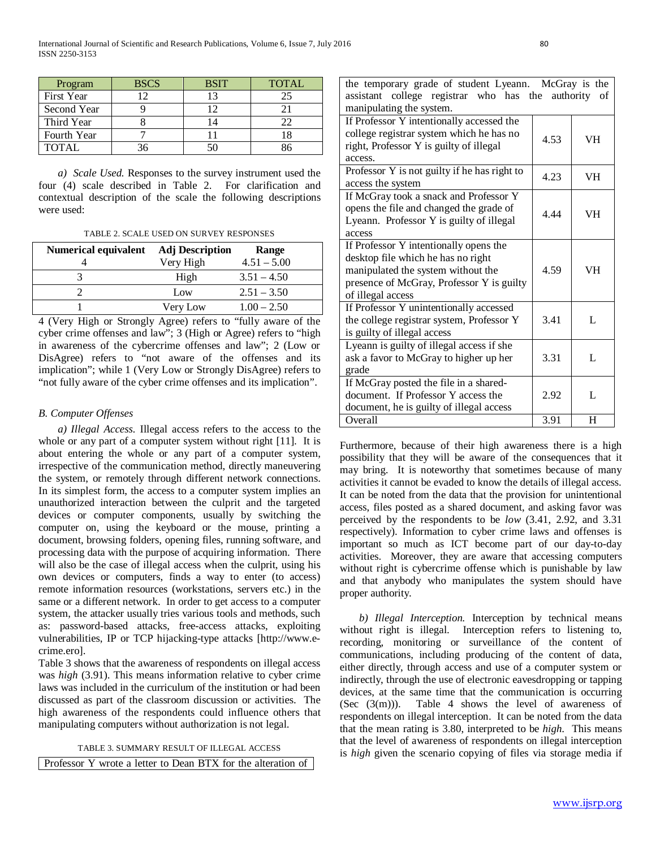| Program      | <b>BSCS</b> | <b>BSIT</b>    | <b>TOTAL</b> |
|--------------|-------------|----------------|--------------|
| First Year   | ר ו         | 1 <sup>2</sup> |              |
| Second Year  |             | 12             |              |
| Third Year   |             |                |              |
| Fourth Year  |             |                |              |
| <b>TOTAL</b> |             |                |              |

*a) Scale Used.* Responses to the survey instrument used the four (4) scale described in Table 2. For clarification and contextual description of the scale the following descriptions were used:

TABLE 2. SCALE USED ON SURVEY RESPONSES

| <b>Numerical equivalent</b> | <b>Adj Description</b> | Range         |
|-----------------------------|------------------------|---------------|
|                             | Very High              | $4.51 - 5.00$ |
|                             | High                   | $3.51 - 4.50$ |
|                             | Low                    | $2.51 - 3.50$ |
|                             | Very Low               | $1.00 - 2.50$ |

4 (Very High or Strongly Agree) refers to "fully aware of the cyber crime offenses and law"; 3 (High or Agree) refers to "high in awareness of the cybercrime offenses and law"; 2 (Low or DisAgree) refers to "not aware of the offenses and its implication"; while 1 (Very Low or Strongly DisAgree) refers to "not fully aware of the cyber crime offenses and its implication".

## *B. Computer Offenses*

*a) Illegal Access.* Illegal access refers to the access to the whole or any part of a computer system without right [11]. It is about entering the whole or any part of a computer system, irrespective of the communication method, directly maneuvering the system, or remotely through different network connections. In its simplest form, the access to a computer system implies an unauthorized interaction between the culprit and the targeted devices or computer components, usually by switching the computer on, using the keyboard or the mouse, printing a document, browsing folders, opening files, running software, and processing data with the purpose of acquiring information. There will also be the case of illegal access when the culprit, using his own devices or computers, finds a way to enter (to access) remote information resources (workstations, servers etc.) in the same or a different network. In order to get access to a computer system, the attacker usually tries various tools and methods, such as: password-based attacks, free-access attacks, exploiting vulnerabilities, IP or TCP hijacking-type attacks [http://www.ecrime.ero].

Table 3 shows that the awareness of respondents on illegal access was *high* (3.91). This means information relative to cyber crime laws was included in the curriculum of the institution or had been discussed as part of the classroom discussion or activities. The high awareness of the respondents could influence others that manipulating computers without authorization is not legal.

TABLE 3. SUMMARY RESULT OF ILLEGAL ACCESS

Professor Y wrote a letter to Dean BTX for the alteration of

| the temporary grade of student Lyeann. McGray is the |      |    |
|------------------------------------------------------|------|----|
| college registrar who has the authority<br>assistant |      | of |
| manipulating the system.                             |      |    |
| If Professor Y intentionally accessed the            |      |    |
| college registrar system which he has no             | 4.53 | VH |
| right, Professor Y is guilty of illegal              |      |    |
| access.                                              |      |    |
| Professor Y is not guilty if he has right to         | 4.23 | VH |
| access the system                                    |      |    |
| If McGray took a snack and Professor Y               |      |    |
| opens the file and changed the grade of              | 4.44 | VH |
| Lyeann. Professor Y is guilty of illegal             |      |    |
| access                                               |      |    |
| If Professor Y intentionally opens the               |      |    |
| desktop file which he has no right                   |      |    |
| manipulated the system without the                   | 4.59 | VH |
| presence of McGray, Professor Y is guilty            |      |    |
| of illegal access                                    |      |    |
| If Professor Y unintentionally accessed              |      |    |
| the college registrar system, Professor Y            | 3.41 | L  |
| is guilty of illegal access                          |      |    |
| Lyeann is guilty of illegal access if she            |      |    |
| ask a favor to McGray to higher up her               | 3.31 | L  |
| grade                                                |      |    |
| If McGray posted the file in a shared-               |      |    |
| document. If Professor Y access the                  | 2.92 | L  |
| document, he is guilty of illegal access             |      |    |
| Overall                                              | 3.91 | H  |

Furthermore, because of their high awareness there is a high possibility that they will be aware of the consequences that it may bring. It is noteworthy that sometimes because of many activities it cannot be evaded to know the details of illegal access. It can be noted from the data that the provision for unintentional access, files posted as a shared document, and asking favor was perceived by the respondents to be *low* (3.41, 2.92, and 3.31 respectively). Information to cyber crime laws and offenses is important so much as ICT become part of our day-to-day activities. Moreover, they are aware that accessing computers without right is cybercrime offense which is punishable by law and that anybody who manipulates the system should have proper authority.

*b) Illegal Interception.* Interception by technical means without right is illegal. Interception refers to listening to, recording, monitoring or surveillance of the content of communications, including producing of the content of data, either directly, through access and use of a computer system or indirectly, through the use of electronic eavesdropping or tapping devices, at the same time that the communication is occurring (Sec  $(3(m))$ ). Table 4 shows the level of awareness of respondents on illegal interception. It can be noted from the data that the mean rating is 3.80, interpreted to be *high.* This means that the level of awareness of respondents on illegal interception is *high* given the scenario copying of files via storage media if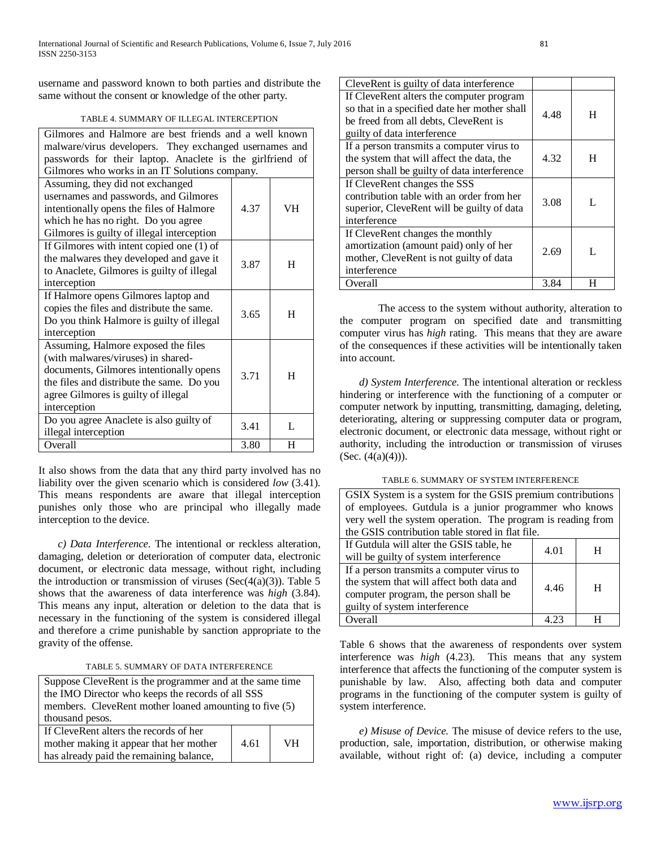username and password known to both parties and distribute the same without the consent or knowledge of the other party.

## TABLE 4. SUMMARY OF ILLEGAL INTERCEPTION

| Gilmores and Halmore are best friends and a well known    |      |    |
|-----------------------------------------------------------|------|----|
| malware/virus developers. They exchanged usernames and    |      |    |
| passwords for their laptop. Anaclete is the girlfriend of |      |    |
| Gilmores who works in an IT Solutions company.            |      |    |
| Assuming, they did not exchanged                          |      |    |
| usernames and passwords, and Gilmores                     |      |    |
| intentionally opens the files of Halmore                  | 4.37 | VH |
| which he has no right. Do you agree                       |      |    |
| Gilmores is guilty of illegal interception                |      |    |
| If Gilmores with intent copied one (1) of                 |      |    |
| the malwares they developed and gave it                   | 3.87 | H  |
| to Anaclete, Gilmores is guilty of illegal                |      |    |
| interception                                              |      |    |
| If Halmore opens Gilmores laptop and                      |      |    |
| copies the files and distribute the same.                 | 3.65 | H  |
| Do you think Halmore is guilty of illegal                 |      |    |
| interception                                              |      |    |
| Assuming, Halmore exposed the files                       |      |    |
| (with malwares/viruses) in shared-                        |      |    |
| documents, Gilmores intentionally opens                   | 3.71 | H  |
| the files and distribute the same. Do you                 |      |    |
| agree Gilmores is guilty of illegal                       |      |    |
| interception                                              |      |    |
| Do you agree Anaclete is also guilty of                   | 3.41 | L  |
| illegal interception                                      |      |    |
| Overall                                                   | 3.80 | H  |

It also shows from the data that any third party involved has no liability over the given scenario which is considered *low* (3.41). This means respondents are aware that illegal interception punishes only those who are principal who illegally made interception to the device.

*c) Data Interference.* The intentional or reckless alteration, damaging, deletion or deterioration of computer data, electronic document, or electronic data message, without right, including the introduction or transmission of viruses ( $Sec(4(a)(3))$ ). Table 5 shows that the awareness of data interference was *high* (3.84). This means any input, alteration or deletion to the data that is necessary in the functioning of the system is considered illegal and therefore a crime punishable by sanction appropriate to the gravity of the offense.

TABLE 5. SUMMARY OF DATA INTERFERENCE

| Suppose CleveRent is the programmer and at the same time |      |    |
|----------------------------------------------------------|------|----|
| the IMO Director who keeps the records of all SSS        |      |    |
| members. CleveRent mother loaned amounting to five (5)   |      |    |
| thousand pesos.                                          |      |    |
| If CleveRent alters the records of her                   |      |    |
| mother making it appear that her mother                  | 4.61 | VН |
| has already paid the remaining balance,                  |      |    |

| CleveRent is guilty of data interference     |      |   |
|----------------------------------------------|------|---|
| If CleveRent alters the computer program     |      |   |
| so that in a specified date her mother shall | 4.48 | H |
| be freed from all debts, CleveRent is        |      |   |
| guilty of data interference                  |      |   |
| If a person transmits a computer virus to    |      |   |
| the system that will affect the data, the    | 4.32 | H |
| person shall be guilty of data interference  |      |   |
| If CleveRent changes the SSS                 |      |   |
| contribution table with an order from her    | 3.08 | L |
| superior, CleveRent will be guilty of data   |      |   |
| interference                                 |      |   |
| If CleveRent changes the monthly             |      |   |
| amortization (amount paid) only of her       | 2.69 | L |
| mother, CleveRent is not guilty of data      |      |   |
| interference                                 |      |   |
| Overall                                      | 3.84 | Н |

The access to the system without authority, alteration to the computer program on specified date and transmitting computer virus has *high* rating. This means that they are aware of the consequences if these activities will be intentionally taken into account.

*d) System Interference.* The intentional alteration or reckless hindering or interference with the functioning of a computer or computer network by inputting, transmitting, damaging, deleting, deteriorating, altering or suppressing computer data or program, electronic document, or electronic data message, without right or authority, including the introduction or transmission of viruses (Sec.  $(4(a)(4))$ ).

#### TABLE 6. SUMMARY OF SYSTEM INTERFERENCE

| GSIX System is a system for the GSIS premium contributions  |                                                        |   |
|-------------------------------------------------------------|--------------------------------------------------------|---|
|                                                             | of employees. Gutdula is a junior programmer who knows |   |
| very well the system operation. The program is reading from |                                                        |   |
| the GSIS contribution table stored in flat file.            |                                                        |   |
| If Gutdula will alter the GSIS table, he                    | 4.01                                                   | н |
| will be guilty of system interference                       |                                                        |   |
| If a person transmits a computer virus to                   |                                                        |   |
| the system that will affect both data and                   | 4.46                                                   | H |
| computer program, the person shall be                       |                                                        |   |
| guilty of system interference                               |                                                        |   |
| Overall                                                     |                                                        |   |

Table 6 shows that the awareness of respondents over system interference was *high* (4.23). This means that any system interference that affects the functioning of the computer system is punishable by law. Also, affecting both data and computer programs in the functioning of the computer system is guilty of system interference.

*e) Misuse of Device.* The misuse of device refers to the use, production, sale, importation, distribution, or otherwise making available, without right of: (a) device, including a computer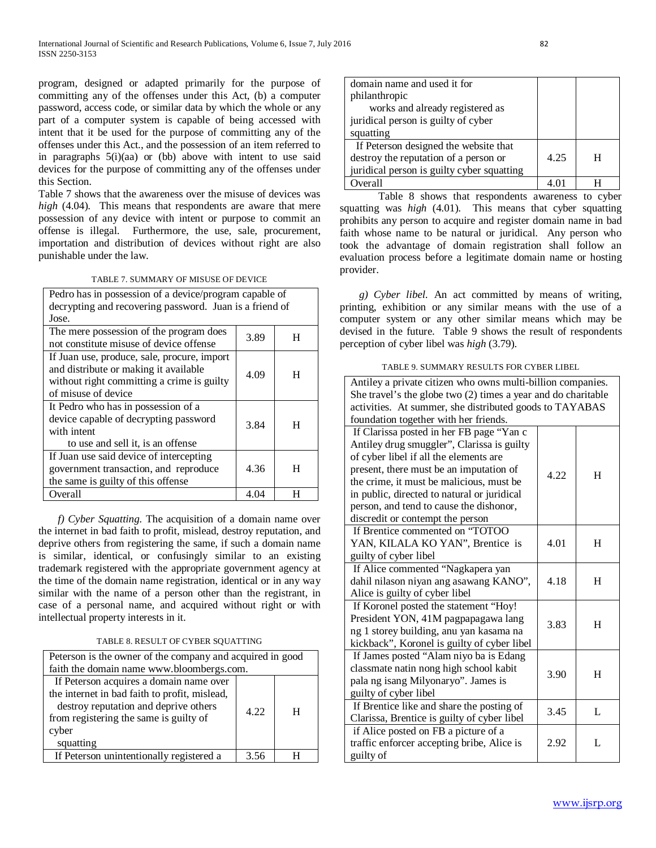program, designed or adapted primarily for the purpose of committing any of the offenses under this Act, (b) a computer password, access code, or similar data by which the whole or any part of a computer system is capable of being accessed with intent that it be used for the purpose of committing any of the offenses under this Act., and the possession of an item referred to in paragraphs 5(i)(aa) or (bb) above with intent to use said devices for the purpose of committing any of the offenses under this Section.

Table 7 shows that the awareness over the misuse of devices was *high* (4.04). This means that respondents are aware that mere possession of any device with intent or purpose to commit an offense is illegal. Furthermore, the use, sale, procurement, importation and distribution of devices without right are also punishable under the law.

#### TABLE 7. SUMMARY OF MISUSE OF DEVICE

| Pedro has in possession of a device/program capable of  |      |   |
|---------------------------------------------------------|------|---|
| decrypting and recovering password. Juan is a friend of |      |   |
| Jose.                                                   |      |   |
| The mere possession of the program does                 | 3.89 | н |
| not constitute misuse of device offense                 |      |   |
| If Juan use, produce, sale, procure, import             |      |   |
| and distribute or making it available                   | 4.09 | н |
| without right committing a crime is guilty              |      |   |
| of misuse of device                                     |      |   |
| It Pedro who has in possession of a                     |      |   |
| device capable of decrypting password                   | 3.84 | н |
| with intent                                             |      |   |
| to use and sell it, is an offense                       |      |   |
| If Juan use said device of intercepting                 |      |   |
| government transaction, and reproduce                   | 4.36 | н |
| the same is guilty of this offense                      |      |   |
| Overall                                                 | 4.04 |   |

*f) Cyber Squatting*. The acquisition of a domain name over the internet in bad faith to profit, mislead, destroy reputation, and deprive others from registering the same, if such a domain name is similar, identical, or confusingly similar to an existing trademark registered with the appropriate government agency at the time of the domain name registration, identical or in any way similar with the name of a person other than the registrant, in case of a personal name, and acquired without right or with intellectual property interests in it.

TABLE 8. RESULT OF CYBER SQUATTING

| Peterson is the owner of the company and acquired in good<br>faith the domain name www.bloombergs.com.                                                                                            |      |   |
|---------------------------------------------------------------------------------------------------------------------------------------------------------------------------------------------------|------|---|
| If Peterson acquires a domain name over<br>the internet in bad faith to profit, mislead,<br>destroy reputation and deprive others<br>from registering the same is guilty of<br>cyber<br>squatting | 4.22 | H |
| If Peterson unintentionally registered a                                                                                                                                                          | 3.56 | н |

| domain name and used it for                |      |   |
|--------------------------------------------|------|---|
| philanthropic                              |      |   |
| works and already registered as            |      |   |
| juridical person is guilty of cyber        |      |   |
| squatting                                  |      |   |
| If Peterson designed the website that      |      |   |
| destroy the reputation of a person or      | 4.25 | н |
| juridical person is guilty cyber squatting |      |   |
| Overall                                    |      |   |

Table 8 shows that respondents awareness to cyber squatting was *high* (4.01). This means that cyber squatting prohibits any person to acquire and register domain name in bad faith whose name to be natural or juridical. Any person who took the advantage of domain registration shall follow an evaluation process before a legitimate domain name or hosting provider.

*g) Cyber libel.* An act committed by means of writing, printing, exhibition or any similar means with the use of a computer system or any other similar means which may be devised in the future. Table 9 shows the result of respondents perception of cyber libel was *high* (3.79).

#### TABLE 9. SUMMARY RESULTS FOR CYBER LIBEL

| Antiley a private citizen who owns multi-billion companies.                                                                                                                                                                                                                                                       |      |   |
|-------------------------------------------------------------------------------------------------------------------------------------------------------------------------------------------------------------------------------------------------------------------------------------------------------------------|------|---|
| She travel's the globe two (2) times a year and do charitable                                                                                                                                                                                                                                                     |      |   |
| activities. At summer, she distributed goods to TAYABAS                                                                                                                                                                                                                                                           |      |   |
| foundation together with her friends.                                                                                                                                                                                                                                                                             |      |   |
| If Clarissa posted in her FB page "Yan c<br>Antiley drug smuggler", Clarissa is guilty<br>of cyber libel if all the elements are<br>present, there must be an imputation of<br>the crime, it must be malicious, must be<br>in public, directed to natural or juridical<br>person, and tend to cause the dishonor, | 4.22 | H |
| discredit or contempt the person                                                                                                                                                                                                                                                                                  |      |   |
| If Brentice commented on "TOTOO<br>YAN, KILALA KO YAN", Brentice is<br>guilty of cyber libel                                                                                                                                                                                                                      | 4.01 | H |
| If Alice commented "Nagkapera yan<br>dahil nilason niyan ang asawang KANO",<br>Alice is guilty of cyber libel                                                                                                                                                                                                     | 4.18 | H |
| If Koronel posted the statement "Hoy!<br>President YON, 41M pagpapagawa lang<br>ng 1 storey building, anu yan kasama na<br>kickback", Koronel is guilty of cyber libel                                                                                                                                            | 3.83 | H |
| If James posted "Alam niyo ba is Edang<br>classmate natin nong high school kabit<br>pala ng isang Milyonaryo". James is<br>guilty of cyber libel                                                                                                                                                                  | 3.90 | H |
| If Brentice like and share the posting of<br>Clarissa, Brentice is guilty of cyber libel                                                                                                                                                                                                                          | 3.45 | L |
| if Alice posted on FB a picture of a<br>traffic enforcer accepting bribe, Alice is<br>guilty of                                                                                                                                                                                                                   | 2.92 | L |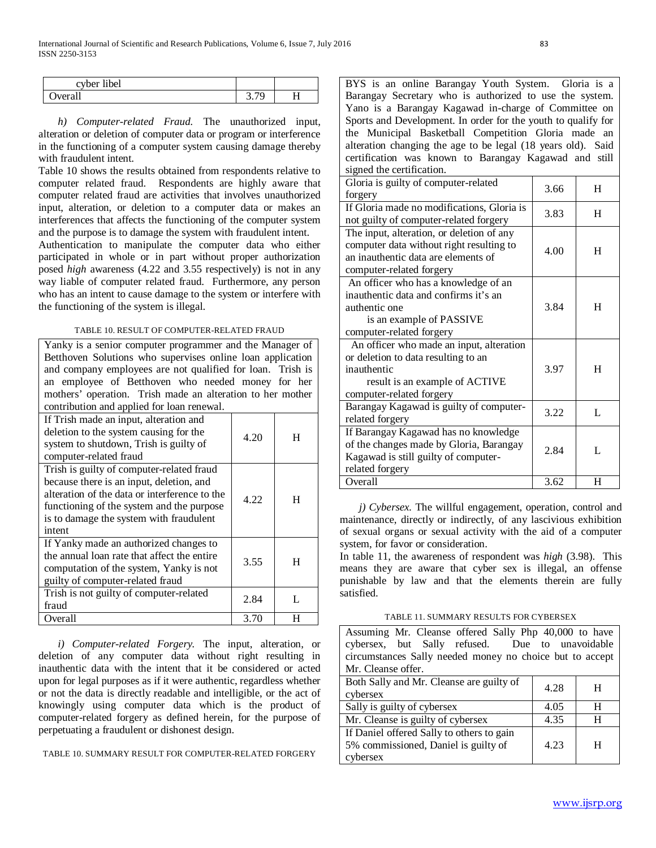| $\cdots$<br>٠<br>cyher<br>libel |         |   |
|---------------------------------|---------|---|
| verall                          | <br>، ب | H |

*h) Computer-related Fraud.* The unauthorized input, alteration or deletion of computer data or program or interference in the functioning of a computer system causing damage thereby with fraudulent intent.

Table 10 shows the results obtained from respondents relative to computer related fraud. Respondents are highly aware that computer related fraud are activities that involves unauthorized input, alteration, or deletion to a computer data or makes an interferences that affects the functioning of the computer system and the purpose is to damage the system with fraudulent intent.

Authentication to manipulate the computer data who either participated in whole or in part without proper authorization posed *high* awareness (4.22 and 3.55 respectively) is not in any way liable of computer related fraud. Furthermore, any person who has an intent to cause damage to the system or interfere with the functioning of the system is illegal.

#### TABLE 10. RESULT OF COMPUTER-RELATED FRAUD

| Yanky is a senior computer programmer and the Manager of<br>Betthoven Solutions who supervises online loan application<br>and company employees are not qualified for loan. Trish is<br>an employee of Betthoven who needed money for her<br>mothers' operation. Trish made an alteration to her mother<br>contribution and applied for loan renewal. |      |   |
|-------------------------------------------------------------------------------------------------------------------------------------------------------------------------------------------------------------------------------------------------------------------------------------------------------------------------------------------------------|------|---|
| If Trish made an input, alteration and<br>deletion to the system causing for the<br>system to shutdown, Trish is guilty of<br>computer-related fraud                                                                                                                                                                                                  | 4.20 | H |
| Trish is guilty of computer-related fraud<br>because there is an input, deletion, and<br>alteration of the data or interference to the<br>functioning of the system and the purpose<br>is to damage the system with fraudulent<br>intent                                                                                                              | 4.22 | H |
| If Yanky made an authorized changes to<br>the annual loan rate that affect the entire<br>computation of the system, Yanky is not<br>guilty of computer-related fraud                                                                                                                                                                                  | 3.55 | H |
| Trish is not guilty of computer-related<br>fraud                                                                                                                                                                                                                                                                                                      | 2.84 | L |
| Overall                                                                                                                                                                                                                                                                                                                                               | 3.70 | Н |

*i) Computer-related Forgery.* The input, alteration, or deletion of any computer data without right resulting in inauthentic data with the intent that it be considered or acted upon for legal purposes as if it were authentic, regardless whether or not the data is directly readable and intelligible, or the act of knowingly using computer data which is the product of computer-related forgery as defined herein, for the purpose of perpetuating a fraudulent or dishonest design.

TABLE 10. SUMMARY RESULT FOR COMPUTER-RELATED FORGERY

| BYS is an online Barangay Youth System. Gloria is a           |
|---------------------------------------------------------------|
| Barangay Secretary who is authorized to use the system.       |
| Yano is a Barangay Kagawad in-charge of Committee on          |
| Sports and Development. In order for the youth to qualify for |
| the Municipal Basketball Competition Gloria made an           |
| alteration changing the age to be legal (18 years old). Said  |
| certification was known to Barangay Kagawad and still         |
| signed the certification.                                     |

| <b>Signed the centrication.</b>            |      |   |
|--------------------------------------------|------|---|
| Gloria is guilty of computer-related       | 3.66 | H |
| forgery                                    |      |   |
| If Gloria made no modifications, Gloria is | 3.83 | H |
| not guilty of computer-related forgery     |      |   |
| The input, alteration, or deletion of any  |      |   |
| computer data without right resulting to   | 4.00 | Η |
| an inauthentic data are elements of        |      |   |
| computer-related forgery                   |      |   |
| An officer who has a knowledge of an       |      |   |
| inauthentic data and confirms it's an      |      |   |
| authentic one                              | 3.84 | H |
| is an example of PASSIVE                   |      |   |
| computer-related forgery                   |      |   |
| An officer who made an input, alteration   |      |   |
| or deletion to data resulting to an        |      |   |
| inauthentic                                | 3.97 | H |
| result is an example of ACTIVE             |      |   |
| computer-related forgery                   |      |   |
| Barangay Kagawad is guilty of computer-    | 3.22 | L |
| related forgery                            |      |   |
| If Barangay Kagawad has no knowledge       |      |   |
| of the changes made by Gloria, Barangay    | 2.84 | L |
| Kagawad is still guilty of computer-       |      |   |
| related forgery                            |      |   |
| Overall                                    | 3.62 | H |

*j) Cybersex.* The willful engagement, operation, control and maintenance, directly or indirectly, of any lascivious exhibition of sexual organs or sexual activity with the aid of a computer system, for favor or consideration.

In table 11, the awareness of respondent was *high* (3.98). This means they are aware that cyber sex is illegal, an offense punishable by law and that the elements therein are fully satisfied.

#### TABLE 11. SUMMARY RESULTS FOR CYBERSEX

| Assuming Mr. Cleanse offered Sally Php 40,000 to have<br>cybersex, but Sally refused. Due to unavoidable<br>circumstances Sally needed money no choice but to accept<br>Mr. Cleanse offer. |      |   |
|--------------------------------------------------------------------------------------------------------------------------------------------------------------------------------------------|------|---|
| Both Sally and Mr. Cleanse are guilty of<br>cybersex                                                                                                                                       | 4.28 | H |
| Sally is guilty of cybersex                                                                                                                                                                | 4.05 | H |
| Mr. Cleanse is guilty of cybersex                                                                                                                                                          | 4.35 | H |
| If Daniel offered Sally to others to gain<br>5% commissioned, Daniel is guilty of<br>cybersex                                                                                              | 4.23 | н |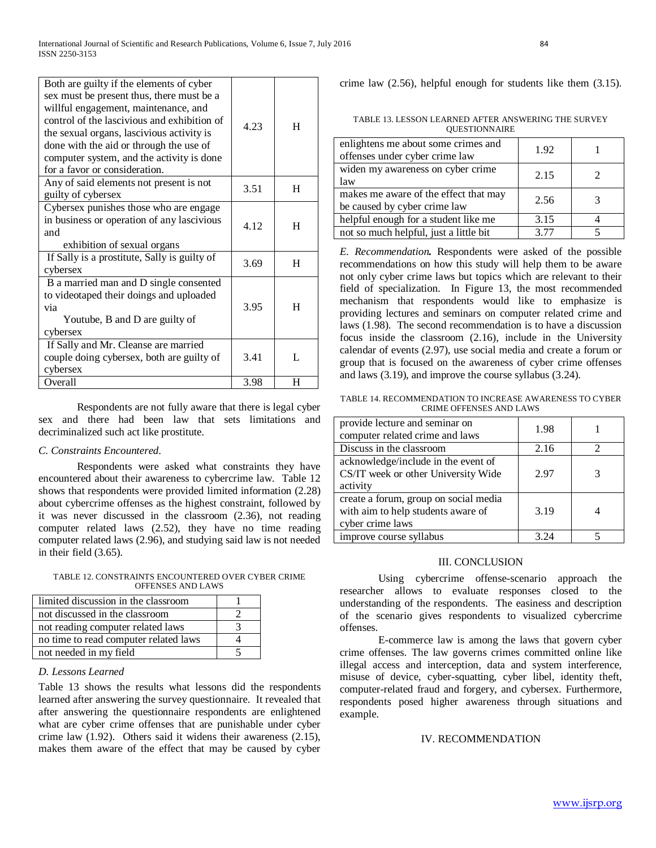| Both are guilty if the elements of cyber<br>sex must be present thus, there must be a<br>willful engagement, maintenance, and<br>control of the lascivious and exhibition of<br>the sexual organs, lascivious activity is<br>done with the aid or through the use of<br>computer system, and the activity is done<br>for a favor or consideration. | 4.23 | H |
|----------------------------------------------------------------------------------------------------------------------------------------------------------------------------------------------------------------------------------------------------------------------------------------------------------------------------------------------------|------|---|
| Any of said elements not present is not<br>guilty of cybersex                                                                                                                                                                                                                                                                                      | 3.51 | H |
| Cybersex punishes those who are engage<br>in business or operation of any lascivious<br>and<br>exhibition of sexual organs                                                                                                                                                                                                                         | 4.12 | H |
| If Sally is a prostitute, Sally is guilty of<br>cybersex                                                                                                                                                                                                                                                                                           | 3.69 | H |
| B a married man and D single consented<br>to videotaped their doings and uploaded<br>via<br>Youtube, B and D are guilty of<br>cybersex                                                                                                                                                                                                             | 3.95 | H |
| If Sally and Mr. Cleanse are married<br>couple doing cybersex, both are guilty of<br>cybersex                                                                                                                                                                                                                                                      | 3.41 | L |
| Overall                                                                                                                                                                                                                                                                                                                                            | 3.98 | H |

Respondents are not fully aware that there is legal cyber sex and there had been law that sets limitations and decriminalized such act like prostitute.

#### *C. Constraints Encountered*.

Respondents were asked what constraints they have encountered about their awareness to cybercrime law. Table 12 shows that respondents were provided limited information (2.28) about cybercrime offenses as the highest constraint, followed by it was never discussed in the classroom (2.36), not reading computer related laws (2.52), they have no time reading computer related laws (2.96), and studying said law is not needed in their field (3.65).

TABLE 12. CONSTRAINTS ENCOUNTERED OVER CYBER CRIME OFFENSES AND LAWS

| limited discussion in the classroom   |  |
|---------------------------------------|--|
| not discussed in the classroom        |  |
| not reading computer related laws     |  |
| no time to read computer related laws |  |
| not needed in my field                |  |

## *D. Lessons Learned*

Table 13 shows the results what lessons did the respondents learned after answering the survey questionnaire. It revealed that after answering the questionnaire respondents are enlightened what are cyber crime offenses that are punishable under cyber crime law (1.92). Others said it widens their awareness (2.15), makes them aware of the effect that may be caused by cyber crime law (2.56), helpful enough for students like them (3.15).

TABLE 13. LESSON LEARNED AFTER ANSWERING THE SURVEY **OUESTIONNAIRE** 

| enlightens me about some crimes and<br>offenses under cyber crime law | 1.92 |  |
|-----------------------------------------------------------------------|------|--|
| widen my awareness on cyber crime<br>law                              | 2.15 |  |
| makes me aware of the effect that may<br>be caused by cyber crime law | 2.56 |  |
| helpful enough for a student like me                                  | 3.15 |  |
| not so much helpful, just a little bit                                | 3.77 |  |

*E. Recommendation.* Respondents were asked of the possible recommendations on how this study will help them to be aware not only cyber crime laws but topics which are relevant to their field of specialization. In Figure 13, the most recommended mechanism that respondents would like to emphasize is providing lectures and seminars on computer related crime and laws (1.98). The second recommendation is to have a discussion focus inside the classroom (2.16), include in the University calendar of events (2.97), use social media and create a forum or group that is focused on the awareness of cyber crime offenses and laws (3.19), and improve the course syllabus (3.24).

TABLE 14. RECOMMENDATION TO INCREASE AWARENESS TO CYBER CRIME OFFENSES AND LAWS

| provide lecture and seminar on<br>computer related crime and laws                               | 1.98 |  |
|-------------------------------------------------------------------------------------------------|------|--|
| Discuss in the classroom                                                                        | 2.16 |  |
| acknowledge/include in the event of<br>CS/IT week or other University Wide<br>activity          | 2.97 |  |
| create a forum, group on social media<br>with aim to help students aware of<br>cyber crime laws | 3.19 |  |
| improve course syllabus                                                                         |      |  |

#### III. CONCLUSION

Using cybercrime offense-scenario approach the researcher allows to evaluate responses closed to the understanding of the respondents. The easiness and description of the scenario gives respondents to visualized cybercrime offenses.

E-commerce law is among the laws that govern cyber crime offenses. The law governs crimes committed online like illegal access and interception, data and system interference, misuse of device, cyber-squatting, cyber libel, identity theft, computer-related fraud and forgery, and cybersex. Furthermore, respondents posed higher awareness through situations and example.

## IV. RECOMMENDATION